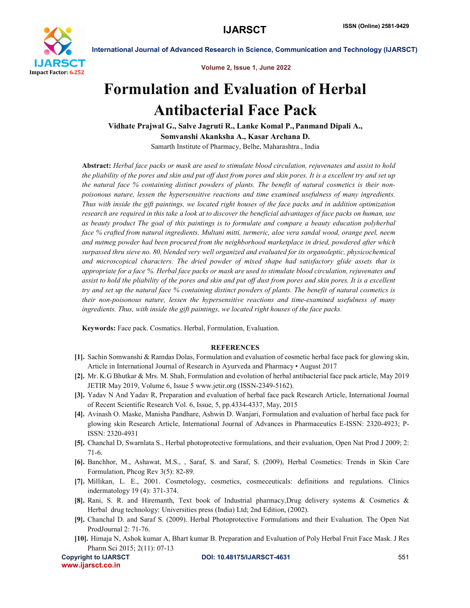

Volume 2, Issue 1, June 2022

International Journal of Advanced Research in Science, Communication and Technology (IJARSCT)

## Formulation and Evaluation of Herbal Antibacterial Face Pack

Vidhate Prajwal G., Salve Jagruti R., Lanke Komal P., Panmand Dipali A., Somvanshi Akanksha A., Kasar Archana D. Samarth Institute of Pharmacy, Belhe, Maharashtra., India

Abstract: *Herbal face packs or mask are used to stimulate blood circulation, rejuvenates and assist to hold the pliability of the pores and skin and put off dust from pores and skin pores. It is a excellent try and set up the natural face % containing distinct powders of plants. The benefit of natural cosmetics is their nonpoisonous nature, lessen the hypersensitive reactions and time examined usefulness of many ingredients. Thus with inside the gift paintings, we located right houses of the face packs and in addition optimization research are required in this take a look at to discover the beneficial advantages of face packs on human, use as beauty product The goal of this paintings is to formulate and compare a beauty education polyherbal face % crafted from natural ingredients. Multani mitti, turmeric, aloe vera sandal wood, orange peel, neem and nutmeg powder had been procured from the neighborhood marketplace in dried, powdered after which surpassed thru sieve no. 80, blended very well organized and evaluated for its organoleptic, physicochemical and microscopical characters. The dried powder of mixed shape had satisfactory glide assets that is appropriate for a face %. Herbal face packs or mask are used to stimulate blood circulation, rejuvenates and assist to hold the pliability of the pores and skin and put off dust from pores and skin pores. It is a excellent try and set up the natural face % containing distinct powders of plants. The benefit of natural cosmetics is their non-poisonous nature, lessen the hypersensitive reactions and time-examined usefulness of many ingredients. Thus, with inside the gift paintings, we located right houses of the face packs.*

Keywords: Face pack. Cosmatics. Herbal, Formulation, Evaluation.

## **REFERENCES**

- [1]. Sachin Somwanshi & Ramdas Dolas, Formulation and evaluation of cosmetic herbal face pack for glowing skin, Article in International Journal of Research in Ayurveda and Pharmacy • August 2017
- [2]. Mr. K.G Bhutkar & Mrs. M. Shah, Formulation and evolution of herbal antibacterial face pack article, May 2019 JETIR May 2019, Volume 6, Issue 5 www.jetir.org (ISSN-2349-5162).
- [3]. Yadav N And Yadav R, Preparation and evaluation of herbal face pack Research Article, International Journal of Recent Scientific Research Vol. 6, Issue, 5, pp.4334-4337, May, 2015
- [4]. Avinash O. Maske, Manisha Pandhare, Ashwin D. Wanjari, Formulation and evaluation of herbal face pack for glowing skin Research Article, International Journal of Advances in Pharmaceutics E-ISSN: 2320-4923; P-ISSN: 2320-4931
- [5]. Chanchal D, Swarnlata S., Herbal photoprotective formulations, and their evaluation, Open Nat Prod J 2009; 2: 71-6.
- [6]. Banchhor, M., Ashawat, M.S., , Saraf, S. and Saraf, S. (2009), Herbal Cosmetics: Trends in Skin Care Formulation, Phcog Rev 3(5): 82-89.
- [7]. Millikan, L. E., 2001. Cosmetology, cosmetics, cosmeceuticals: definitions and regulations. Clinics indermatology 19 (4): 371-374.
- [8]. Rani, S. R. and Hiremanth, Text book of Industrial pharmacy,Drug delivery systems & Cosmetics & Herbal drug technology: Universities press (India) Ltd; 2nd Edition, (2002).
- [9]. Chanchal D. and Saraf S. (2009). Herbal Photoprotective Formulations and their Evaluation. The Open Nat ProdJournal 2: 71-76.
- [10]. Himaja N, Ashok kumar A, Bhart kumar B. Preparation and Evaluation of Poly Herbal Fruit Face Mask. J Res Pharm Sci 2015; 2(11): 07-13

www.ijarsct.co.in